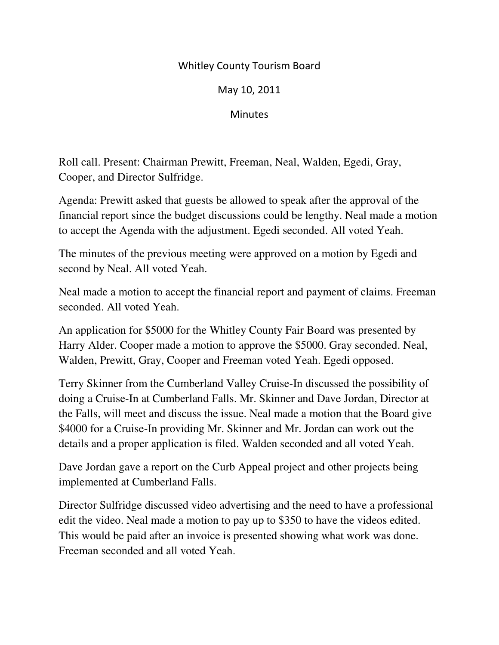## Whitley County Tourism Board

May 10, 2011

**Minutes** 

Roll call. Present: Chairman Prewitt, Freeman, Neal, Walden, Egedi, Gray, Cooper, and Director Sulfridge.

Agenda: Prewitt asked that guests be allowed to speak after the approval of the financial report since the budget discussions could be lengthy. Neal made a motion to accept the Agenda with the adjustment. Egedi seconded. All voted Yeah.

The minutes of the previous meeting were approved on a motion by Egedi and second by Neal. All voted Yeah.

Neal made a motion to accept the financial report and payment of claims. Freeman seconded. All voted Yeah.

An application for \$5000 for the Whitley County Fair Board was presented by Harry Alder. Cooper made a motion to approve the \$5000. Gray seconded. Neal, Walden, Prewitt, Gray, Cooper and Freeman voted Yeah. Egedi opposed.

Terry Skinner from the Cumberland Valley Cruise-In discussed the possibility of doing a Cruise-In at Cumberland Falls. Mr. Skinner and Dave Jordan, Director at the Falls, will meet and discuss the issue. Neal made a motion that the Board give \$4000 for a Cruise-In providing Mr. Skinner and Mr. Jordan can work out the details and a proper application is filed. Walden seconded and all voted Yeah.

Dave Jordan gave a report on the Curb Appeal project and other projects being implemented at Cumberland Falls.

Director Sulfridge discussed video advertising and the need to have a professional edit the video. Neal made a motion to pay up to \$350 to have the videos edited. This would be paid after an invoice is presented showing what work was done. Freeman seconded and all voted Yeah.